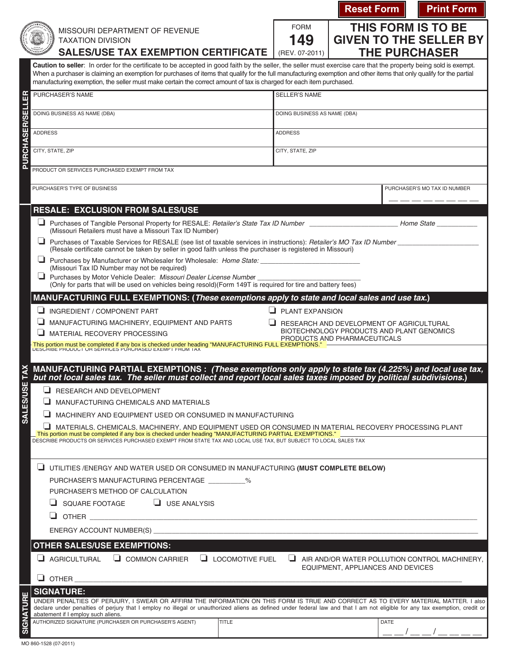|                        |                                                                                                                                                                                                                               |                                                                                                                                                                                                                                                                                                                                           | <b>Reset Form</b>                                                         |                                                                                           | <b>Print Form</b>             |  |
|------------------------|-------------------------------------------------------------------------------------------------------------------------------------------------------------------------------------------------------------------------------|-------------------------------------------------------------------------------------------------------------------------------------------------------------------------------------------------------------------------------------------------------------------------------------------------------------------------------------------|---------------------------------------------------------------------------|-------------------------------------------------------------------------------------------|-------------------------------|--|
|                        |                                                                                                                                                                                                                               | MISSOURI DEPARTMENT OF REVENUE                                                                                                                                                                                                                                                                                                            | <b>FORM</b>                                                               |                                                                                           | <b>THIS FORM IS TO BE</b>     |  |
|                        |                                                                                                                                                                                                                               | <b>TAXATION DIVISION</b>                                                                                                                                                                                                                                                                                                                  | 149                                                                       |                                                                                           | <b>GIVEN TO THE SELLER BY</b> |  |
|                        |                                                                                                                                                                                                                               | <b>SALES/USE TAX EXEMPTION CERTIFICATE</b>                                                                                                                                                                                                                                                                                                | (REV. 07-2011)                                                            |                                                                                           | <b>THE PURCHASER</b>          |  |
|                        |                                                                                                                                                                                                                               | Caution to seller: In order for the certificate to be accepted in good faith by the seller, the seller must exercise care that the property being sold is exempt.<br>When a purchaser is claiming an exemption for purchases of items that qualify for the full manufacturing exemption and other items that only qualify for the partial |                                                                           |                                                                                           |                               |  |
|                        | manufacturing exemption, the seller must make certain the correct amount of tax is charged for each item purchased.                                                                                                           |                                                                                                                                                                                                                                                                                                                                           |                                                                           |                                                                                           |                               |  |
| Æ                      |                                                                                                                                                                                                                               | PURCHASER'S NAME                                                                                                                                                                                                                                                                                                                          | <b>SELLER'S NAME</b>                                                      |                                                                                           |                               |  |
| <b>PURCHASER/SELL</b>  | DOING BUSINESS AS NAME (DBA)                                                                                                                                                                                                  |                                                                                                                                                                                                                                                                                                                                           | DOING BUSINESS AS NAME (DBA)                                              |                                                                                           |                               |  |
|                        | <b>ADDRESS</b>                                                                                                                                                                                                                |                                                                                                                                                                                                                                                                                                                                           | <b>ADDRESS</b>                                                            |                                                                                           |                               |  |
|                        |                                                                                                                                                                                                                               |                                                                                                                                                                                                                                                                                                                                           |                                                                           |                                                                                           |                               |  |
|                        |                                                                                                                                                                                                                               | CITY, STATE, ZIP                                                                                                                                                                                                                                                                                                                          | CITY, STATE, ZIP                                                          |                                                                                           |                               |  |
|                        | PRODUCT OR SERVICES PURCHASED EXEMPT FROM TAX                                                                                                                                                                                 |                                                                                                                                                                                                                                                                                                                                           |                                                                           |                                                                                           |                               |  |
|                        |                                                                                                                                                                                                                               | PURCHASER'S TYPE OF BUSINESS                                                                                                                                                                                                                                                                                                              |                                                                           |                                                                                           | PURCHASER'S MO TAX ID NUMBER  |  |
|                        |                                                                                                                                                                                                                               |                                                                                                                                                                                                                                                                                                                                           |                                                                           |                                                                                           |                               |  |
|                        |                                                                                                                                                                                                                               | <b>RESALE: EXCLUSION FROM SALES/USE</b>                                                                                                                                                                                                                                                                                                   |                                                                           |                                                                                           |                               |  |
|                        |                                                                                                                                                                                                                               | Purchases of Tangible Personal Property for RESALE: Retailer's State Tax ID Number<br>(Missouri Retailers must have a Missouri Tax ID Number)                                                                                                                                                                                             |                                                                           |                                                                                           | Home State <b>State</b>       |  |
|                        |                                                                                                                                                                                                                               | Purchases of Taxable Services for RESALE (see list of taxable services in instructions): Retailer's MO Tax ID Number<br>(Resale certificate cannot be taken by seller in good faith unless the purchaser is registered in Missouri)                                                                                                       |                                                                           |                                                                                           |                               |  |
|                        |                                                                                                                                                                                                                               | Purchases by Manufacturer or Wholesaler for Wholesale: Home State: ______________<br>(Missouri Tax ID Number may not be required)                                                                                                                                                                                                         |                                                                           |                                                                                           |                               |  |
|                        | ┙                                                                                                                                                                                                                             | Purchases by Motor Vehicle Dealer: Missouri Dealer License Number                                                                                                                                                                                                                                                                         |                                                                           |                                                                                           |                               |  |
|                        | (Only for parts that will be used on vehicles being resold)(Form 149T is required for tire and battery fees)<br>MANUFACTURING FULL EXEMPTIONS: (These exemptions apply to state and local sales and use tax.)                 |                                                                                                                                                                                                                                                                                                                                           |                                                                           |                                                                                           |                               |  |
|                        | $\Box$ PLANT EXPANSION<br>INGREDIENT / COMPONENT PART                                                                                                                                                                         |                                                                                                                                                                                                                                                                                                                                           |                                                                           |                                                                                           |                               |  |
|                        |                                                                                                                                                                                                                               | MANUFACTURING MACHINERY, EQUIPMENT AND PARTS                                                                                                                                                                                                                                                                                              |                                                                           | RESEARCH AND DEVELOPMENT OF AGRICULTURAL                                                  |                               |  |
|                        |                                                                                                                                                                                                                               | MATERIAL RECOVERY PROCESSING                                                                                                                                                                                                                                                                                                              | BIOTECHNOLOGY PRODUCTS AND PLANT GENOMICS<br>PRODUCTS AND PHARMACEUTICALS |                                                                                           |                               |  |
|                        | This portion must be completed if any box is checked under heading "MANUFACTURING FULL EXEMPTIONS."                                                                                                                           |                                                                                                                                                                                                                                                                                                                                           |                                                                           |                                                                                           |                               |  |
|                        | MANUFACTURING PARTIAL EXEMPTIONS : (These exemptions only apply to state tax (4.225%) and local use tax,<br>but not local sales tax. The seller must collect and report local sales taxes imposed by political subdivisions.) |                                                                                                                                                                                                                                                                                                                                           |                                                                           |                                                                                           |                               |  |
|                        |                                                                                                                                                                                                                               | RESEARCH AND DEVELOPMENT                                                                                                                                                                                                                                                                                                                  |                                                                           |                                                                                           |                               |  |
|                        |                                                                                                                                                                                                                               | MANUFACTURING CHEMICALS AND MATERIALS                                                                                                                                                                                                                                                                                                     |                                                                           |                                                                                           |                               |  |
| SALES/USE <sub>1</sub> |                                                                                                                                                                                                                               | MACHINERY AND EQUIPMENT USED OR CONSUMED IN MANUFACTURING                                                                                                                                                                                                                                                                                 |                                                                           |                                                                                           |                               |  |
|                        |                                                                                                                                                                                                                               | MATERIALS, CHEMICALS, MACHINERY, AND EQUIPMENT USED OR CONSUMED IN MATERIAL RECOVERY PROCESSING PLANT<br>. This portion must be completed if any box is checked under heading "MANUFACTURING PARTIAL EXEMPTIONS." .                                                                                                                       |                                                                           |                                                                                           |                               |  |
|                        | DESCRIBE PRODUCTS OR SERVICES PURCHASED EXEMPT FROM STATE TAX AND LOCAL USE TAX, BUT SUBJECT TO LOCAL SALES TAX                                                                                                               |                                                                                                                                                                                                                                                                                                                                           |                                                                           |                                                                                           |                               |  |
|                        | UTILITIES /ENERGY AND WATER USED OR CONSUMED IN MANUFACTURING (MUST COMPLETE BELOW)                                                                                                                                           |                                                                                                                                                                                                                                                                                                                                           |                                                                           |                                                                                           |                               |  |
|                        |                                                                                                                                                                                                                               | PURCHASER'S MANUFACTURING PERCENTAGE __________%                                                                                                                                                                                                                                                                                          |                                                                           |                                                                                           |                               |  |
|                        |                                                                                                                                                                                                                               | PURCHASER'S METHOD OF CALCULATION                                                                                                                                                                                                                                                                                                         |                                                                           |                                                                                           |                               |  |
|                        |                                                                                                                                                                                                                               | $\Box$ SQUARE FOOTAGE<br>$\Box$ USE ANALYSIS                                                                                                                                                                                                                                                                                              |                                                                           |                                                                                           |                               |  |
|                        |                                                                                                                                                                                                                               | u.<br>OTHER <b>SECURE 2006</b>                                                                                                                                                                                                                                                                                                            |                                                                           |                                                                                           |                               |  |
|                        | ENERGY ACCOUNT NUMBER(S)                                                                                                                                                                                                      |                                                                                                                                                                                                                                                                                                                                           |                                                                           |                                                                                           |                               |  |
|                        | <b>OTHER SALES/USE EXEMPTIONS:</b>                                                                                                                                                                                            |                                                                                                                                                                                                                                                                                                                                           |                                                                           |                                                                                           |                               |  |
|                        |                                                                                                                                                                                                                               | $\Box$ COMMON CARRIER $\Box$ LOCOMOTIVE FUEL<br>AGRICULTURAL                                                                                                                                                                                                                                                                              |                                                                           | $\Box$ AIR AND/OR WATER POLLUTION CONTROL MACHINERY,<br>EQUIPMENT, APPLIANCES AND DEVICES |                               |  |
|                        |                                                                                                                                                                                                                               | $\Box$ OTHER                                                                                                                                                                                                                                                                                                                              |                                                                           |                                                                                           |                               |  |
|                        |                                                                                                                                                                                                                               | <b>SIGNATURE:</b>                                                                                                                                                                                                                                                                                                                         |                                                                           |                                                                                           |                               |  |
| <b>SIGNATUR</b>        |                                                                                                                                                                                                                               | UNDER PENALTIES OF PERJURY, I SWEAR OR AFFIRM THE INFORMATION ON THIS FORM IS TRUE AND CORRECT AS TO EVERY MATERIAL MATTER. I also<br>declare under penalties of perjury that I employ no illegal or unauthorized aliens as defined under federal law and that I am not eligible for any tax exemption, credit or                         |                                                                           |                                                                                           |                               |  |
|                        |                                                                                                                                                                                                                               | abatement if I employ such aliens.<br>AUTHORIZED SIGNATURE (PURCHASER OR PURCHASER'S AGENT)<br>TITLE                                                                                                                                                                                                                                      |                                                                           | <b>DATE</b>                                                                               |                               |  |
|                        |                                                                                                                                                                                                                               |                                                                                                                                                                                                                                                                                                                                           |                                                                           |                                                                                           |                               |  |